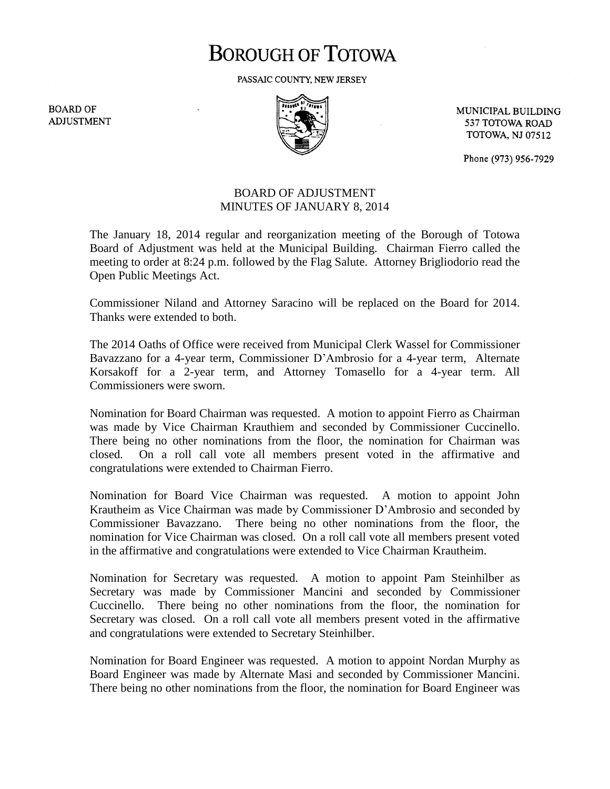## **BOROUGH OF TOTOWA**

PASSAIC COUNTY, NEW JERSEY

**BOARD OF ADJUSTMENT** 



MUNICIPAL BUILDING 537 TOTOWA ROAD **TOTOWA, NJ 07512** 

Phone (973) 956-7929

## BOARD OF ADJUSTMENT MINUTES OF JANUARY 8, 2014

The January 18, 2014 regular and reorganization meeting of the Borough of Totowa Board of Adjustment was held at the Municipal Building. Chairman Fierro called the meeting to order at 8:24 p.m. followed by the Flag Salute. Attorney Brigliodorio read the Open Public Meetings Act.

Commissioner Niland and Attorney Saracino will be replaced on the Board for 2014. Thanks were extended to both.

The 2014 Oaths of Office were received from Municipal Clerk Wassel for Commissioner Bavazzano for a 4-year term, Commissioner D'Ambrosio for a 4-year term, Alternate Korsakoff for a 2-year term, and Attorney Tomasello for a 4-year term. All Commissioners were sworn.

Nomination for Board Chairman was requested. A motion to appoint Fierro as Chairman was made by Vice Chairman Krauthiem and seconded by Commissioner Cuccinello. There being no other nominations from the floor, the nomination for Chairman was closed. On a roll call vote all members present voted in the affirmative and congratulations were extended to Chairman Fierro.

Nomination for Board Vice Chairman was requested. A motion to appoint John Krautheim as Vice Chairman was made by Commissioner D'Ambrosio and seconded by Commissioner Bavazzano. There being no other nominations from the floor, the nomination for Vice Chairman was closed. On a roll call vote all members present voted in the affirmative and congratulations were extended to Vice Chairman Krautheim.

Nomination for Secretary was requested. A motion to appoint Pam Steinhilber as Secretary was made by Commissioner Mancini and seconded by Commissioner Cuccinello. There being no other nominations from the floor, the nomination for Secretary was closed. On a roll call vote all members present voted in the affirmative and congratulations were extended to Secretary Steinhilber.

Nomination for Board Engineer was requested. A motion to appoint Nordan Murphy as Board Engineer was made by Alternate Masi and seconded by Commissioner Mancini. There being no other nominations from the floor, the nomination for Board Engineer was